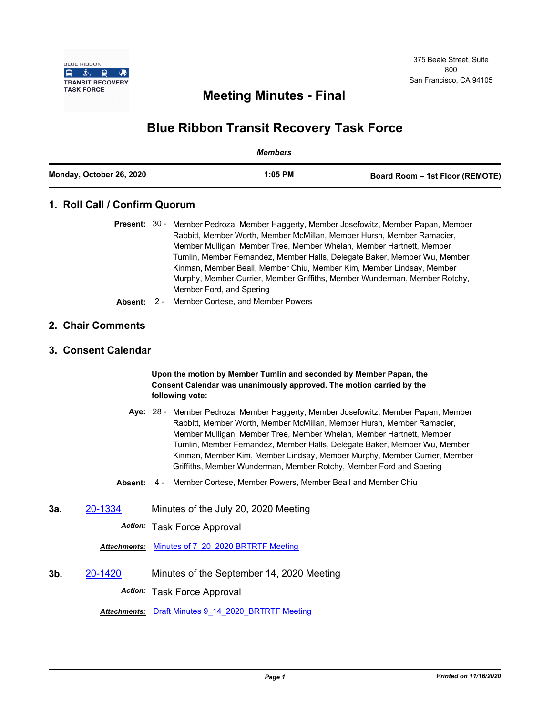

## **Meeting Minutes - Final**

# **Blue Ribbon Transit Recovery Task Force**

|                          | Members   |                                 |
|--------------------------|-----------|---------------------------------|
| Monday, October 26, 2020 | $1:05$ PM | Board Room – 1st Floor (REMOTE) |

## **1. Roll Call / Confirm Quorum**

|  | <b>Present:</b> 30 - Member Pedroza, Member Haggerty, Member Josefowitz, Member Papan, Member |
|--|-----------------------------------------------------------------------------------------------|
|  | Rabbitt, Member Worth, Member McMillan, Member Hursh, Member Ramacier,                        |
|  | Member Mulligan, Member Tree, Member Whelan, Member Hartnett, Member                          |
|  | Tumlin, Member Fernandez, Member Halls, Delegate Baker, Member Wu, Member                     |
|  | Kinman, Member Beall, Member Chiu, Member Kim, Member Lindsay, Member                         |
|  | Murphy, Member Currier, Member Griffiths, Member Wunderman, Member Rotchy,                    |
|  | Member Ford, and Spering                                                                      |

**Absent:** 2 - Member Cortese, and Member Powers

#### **2. Chair Comments**

#### **3. Consent Calendar**

#### **Upon the motion by Member Tumlin and seconded by Member Papan, the Consent Calendar was unanimously approved. The motion carried by the following vote:**

- Aye: 28 Member Pedroza, Member Haggerty, Member Josefowitz, Member Papan, Member Rabbitt, Member Worth, Member McMillan, Member Hursh, Member Ramacier, Member Mulligan, Member Tree, Member Whelan, Member Hartnett, Member Tumlin, Member Fernandez, Member Halls, Delegate Baker, Member Wu, Member Kinman, Member Kim, Member Lindsay, Member Murphy, Member Currier, Member Griffiths, Member Wunderman, Member Rotchy, Member Ford and Spering
- **Absent:** 4 Member Cortese, Member Powers, Member Beall and Member Chiu
- **3a.** [20-1334](http://mtc.legistar.com/gateway.aspx?m=l&id=/matter.aspx?key=21199) Minutes of the July 20, 2020 Meeting

*Action:* Task Force Approval

*Attachments:* [Minutes of 7\\_20\\_2020 BRTRTF Meeting](http://mtc.legistar.com/gateway.aspx?M=F&ID=f0570a32-309a-47b4-b7f3-f990c3e45365.pdf)

**3b.** [20-1420](http://mtc.legistar.com/gateway.aspx?m=l&id=/matter.aspx?key=21285) Minutes of the September 14, 2020 Meeting *Action:* Task Force Approval

*Attachments:* [Draft Minutes 9\\_14\\_2020\\_BRTRTF Meeting](http://mtc.legistar.com/gateway.aspx?M=F&ID=79bb7245-51fc-441c-a78c-a4ee283ae9bb.pdf)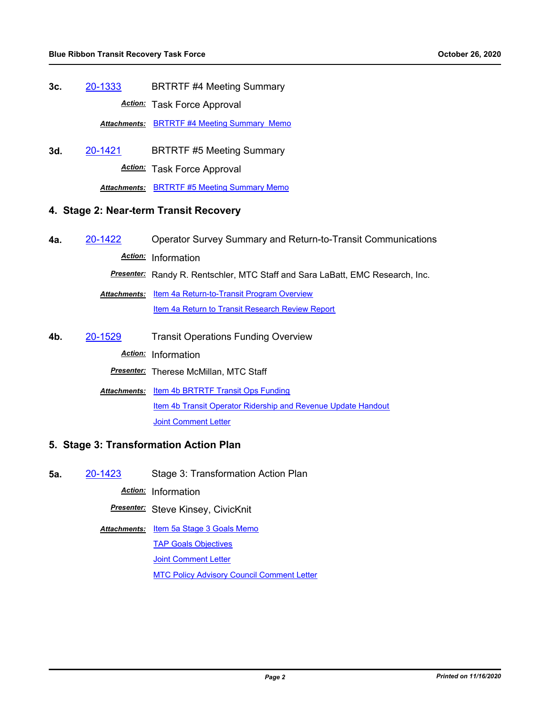**3c.** [20-1333](http://mtc.legistar.com/gateway.aspx?m=l&id=/matter.aspx?key=21198) BRTRTF #4 Meeting Summary *Action:* Task Force Approval

**Attachments: [BRTRTF #4 Meeting Summary Memo](http://mtc.legistar.com/gateway.aspx?M=F&ID=50cfbd8e-7f88-416e-a7ac-9cd8dc1a566a.pdf)** 

**3d.** [20-1421](http://mtc.legistar.com/gateway.aspx?m=l&id=/matter.aspx?key=21286) BRTRTF #5 Meeting Summary *Action:* Task Force Approval

*Attachments:* [BRTRTF #5 Meeting Summary Memo](http://mtc.legistar.com/gateway.aspx?M=F&ID=7a24ff5f-f43d-4e89-a857-0c163f2636a5.pdf)

#### **4. Stage 2: Near-term Transit Recovery**

**4a.** [20-1422](http://mtc.legistar.com/gateway.aspx?m=l&id=/matter.aspx?key=21287) Operator Survey Summary and Return-to-Transit Communications *Action:* Information

*Presenter:* Randy R. Rentschler, MTC Staff and Sara LaBatt, EMC Research, Inc.

**Attachments: [Item 4a Return-to-Transit Program Overview](http://mtc.legistar.com/gateway.aspx?M=F&ID=419d0ee5-16c8-4ead-af16-33abe6f880f4.pdf) [Item 4a Return to Transit Research Review Report](http://mtc.legistar.com/gateway.aspx?M=F&ID=b1c09b43-a12a-4751-8002-c0064216f444.pdf)** 

**4b.** [20-1529](http://mtc.legistar.com/gateway.aspx?m=l&id=/matter.aspx?key=21394) Transit Operations Funding Overview

*Action:* Information

*Presenter:* Therese McMillan, MTC Staff

Attachments: ltem 4b BRTRTF Transit Ops Funding [Item 4b Transit Operator Ridership and Revenue Update Handout](http://mtc.legistar.com/gateway.aspx?M=F&ID=462e6d33-c92a-46bd-a7da-8c3fef243325.pdf) **[Joint Comment Letter](http://mtc.legistar.com/gateway.aspx?M=F&ID=0c3f1a50-cfec-43e4-8e9f-b2ef1bcab886.pdf)** 

#### **5. Stage 3: Transformation Action Plan**

**5a.** [20-1423](http://mtc.legistar.com/gateway.aspx?m=l&id=/matter.aspx?key=21288) Stage 3: Transformation Action Plan

*Action:* Information

*Presenter:* Steve Kinsey, CivicKnit

Attachments: [Item 5a Stage 3 Goals Memo](http://mtc.legistar.com/gateway.aspx?M=F&ID=e520ac83-4971-4b54-b655-f644fc800111.pdf) **[TAP Goals Objectives](http://mtc.legistar.com/gateway.aspx?M=F&ID=6e89623f-1bb6-45a3-8668-61e153c254b6.pdf)** [Joint Comment Letter](http://mtc.legistar.com/gateway.aspx?M=F&ID=844f989b-0d95-4bda-808c-7114ec26c5ca.pdf) [MTC Policy Advisory Council Comment Letter](http://mtc.legistar.com/gateway.aspx?M=F&ID=d48f358f-77d3-4d8f-9ab7-b06f29f7f2b1.pdf)